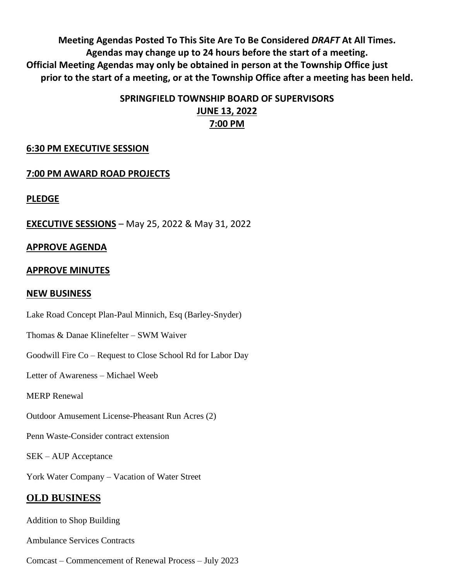**Meeting Agendas Posted To This Site Are To Be Considered** *DRAFT* **At All Times. Agendas may change up to 24 hours before the start of a meeting. Official Meeting Agendas may only be obtained in person at the Township Office just prior to the start of a meeting, or at the Township Office after a meeting has been held.**

# **SPRINGFIELD TOWNSHIP BOARD OF SUPERVISORS JUNE 13, 2022 7:00 PM**

### **6:30 PM EXECUTIVE SESSION**

## **7:00 PM AWARD ROAD PROJECTS**

**PLEDGE**

**EXECUTIVE SESSIONS** – May 25, 2022 & May 31, 2022

### **APPROVE AGENDA**

### **APPROVE MINUTES**

### **NEW BUSINESS**

Lake Road Concept Plan-Paul Minnich, Esq (Barley-Snyder)

Thomas & Danae Klinefelter – SWM Waiver

Goodwill Fire Co – Request to Close School Rd for Labor Day

Letter of Awareness – Michael Weeb

MERP Renewal

Outdoor Amusement License-Pheasant Run Acres (2)

Penn Waste-Consider contract extension

SEK – AUP Acceptance

York Water Company – Vacation of Water Street

### **OLD BUSINESS**

Addition to Shop Building

Ambulance Services Contracts

Comcast – Commencement of Renewal Process – July 2023